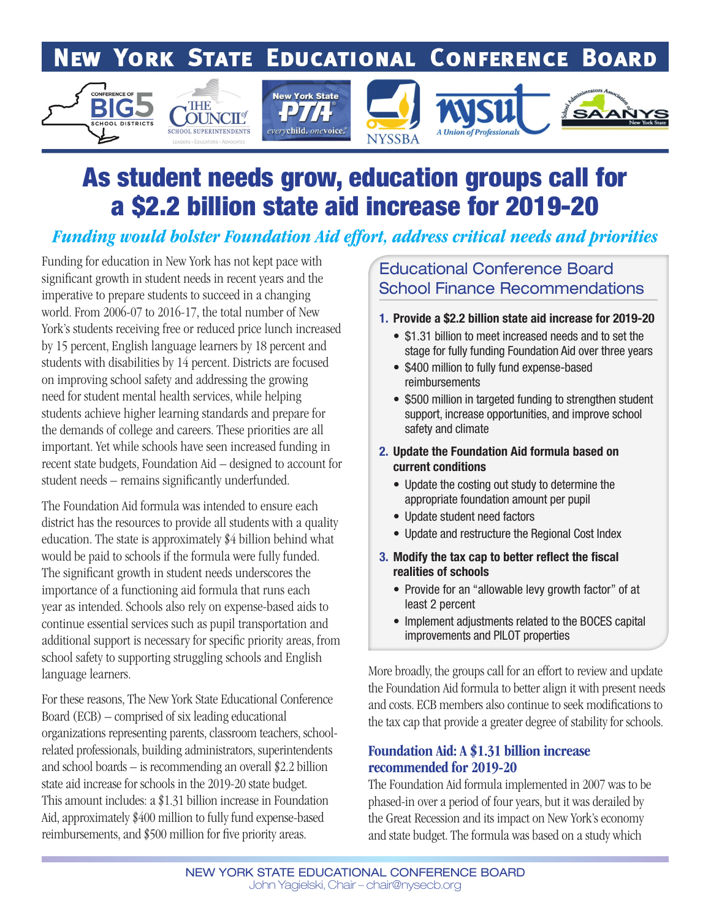# **NEW YORK STATE EDUCATIONAL CONFERENCE BOARD**



# As student needs grow, education groups call for a \$2.2 billion state aid increase for 2019-20

## *Funding would bolster Foundation Aid effort, address critical needs and priorities*

Funding for education in New York has not kept pace with significant growth in student needs in recent years and the imperative to prepare students to succeed in a changing world. From 2006-07 to 2016-17, the total number of New York's students receiving free or reduced price lunch increased by 15 percent, English language learners by 18 percent and students with disabilities by 14 percent. Districts are focused on improving school safety and addressing the growing need for student mental health services, while helping students achieve higher learning standards and prepare for the demands of college and careers. These priorities are all important. Yet while schools have seen increased funding in recent state budgets, Foundation Aid – designed to account for student needs – remains significantly underfunded.

The Foundation Aid formula was intended to ensure each district has the resources to provide all students with a quality education. The state is approximately \$4 billion behind what would be paid to schools if the formula were fully funded. The significant growth in student needs underscores the importance of a functioning aid formula that runs each year as intended. Schools also rely on expense-based aids to continue essential services such as pupil transportation and additional support is necessary for specific priority areas, from school safety to supporting struggling schools and English language learners.

For these reasons, The New York State Educational Conference Board (ECB) – comprised of six leading educational organizations representing parents, classroom teachers, schoolrelated professionals, building administrators, superintendents and school boards – is recommending an overall \$2.2 billion state aid increase for schools in the 2019-20 state budget. This amount includes: a \$1.31 billion increase in Foundation Aid, approximately \$400 million to fully fund expense-based reimbursements, and \$500 million for five priority areas.

## Educational Conference Board School Finance Recommendations

- 1. Provide a \$2.2 billion state aid increase for 2019-20
	- \$1.31 billion to meet increased needs and to set the stage for fully funding Foundation Aid over three years
	- \$400 million to fully fund expense-based reimbursements
	- \$500 million in targeted funding to strengthen student support, increase opportunities, and improve school safety and climate
- 2. Update the Foundation Aid formula based on current conditions
	- Update the costing out study to determine the appropriate foundation amount per pupil
	- Update student need factors
	- Update and restructure the Regional Cost Index
- 3. Modify the tax cap to better reflect the fiscal realities of schools
	- Provide for an "allowable levy growth factor" of at least 2 percent
	- Implement adjustments related to the BOCES capital improvements and PILOT properties

More broadly, the groups call for an effort to review and update the Foundation Aid formula to better align it with present needs and costs. ECB members also continue to seek modifications to the tax cap that provide a greater degree of stability for schools.

#### Foundation Aid: A \$1.31 billion increase recommended for 2019-20

The Foundation Aid formula implemented in 2007 was to be phased-in over a period of four years, but it was derailed by the Great Recession and its impact on New York's economy and state budget. The formula was based on a study which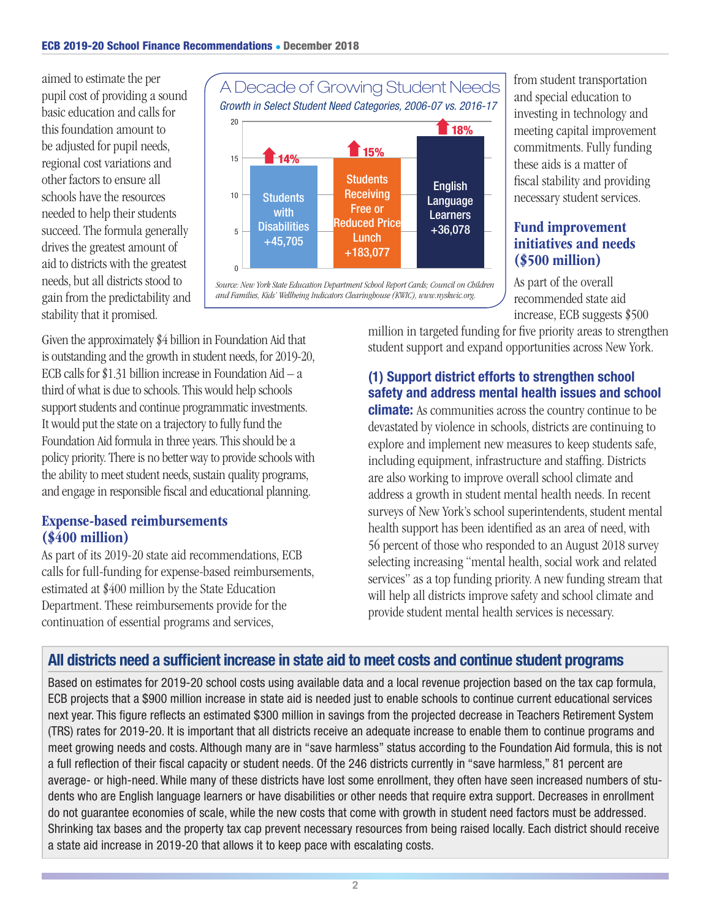aimed to estimate the per pupil cost of providing a sound basic education and calls for this foundation amount to be adjusted for pupil needs, regional cost variations and other factors to ensure all schools have the resources needed to help their students succeed. The formula generally drives the greatest amount of aid to districts with the greatest needs, but all districts stood to gain from the predictability and stability that it promised.



*Source: New York State Education Department School Report Cards; Council on Children and Families, Kids' Wellbeing Indicators Clearinghouse (KWIC), www.nyskwic.org.*

Given the approximately \$4 billion in Foundation Aid that is outstanding and the growth in student needs, for 2019-20, ECB calls for \$1.31 billion increase in Foundation Aid  $- a$ third of what is due to schools. This would help schools support students and continue programmatic investments. It would put the state on a trajectory to fully fund the Foundation Aid formula in three years. This should be a policy priority. There is no better way to provide schools with the ability to meet student needs, sustain quality programs, and engage in responsible fiscal and educational planning.

## Expense-based reimbursements (\$400 million)

As part of its 2019-20 state aid recommendations, ECB calls for full-funding for expense-based reimbursements, estimated at \$400 million by the State Education Department. These reimbursements provide for the continuation of essential programs and services,

from student transportation and special education to investing in technology and meeting capital improvement commitments. Fully funding these aids is a matter of fiscal stability and providing necessary student services.

## Fund improvement initiatives and needs (\$500 million)

As part of the overall recommended state aid increase, ECB suggests \$500

million in targeted funding for five priority areas to strengthen student support and expand opportunities across New York.

## (1) Support district efforts to strengthen school safety and address mental health issues and school

**climate:** As communities across the country continue to be devastated by violence in schools, districts are continuing to explore and implement new measures to keep students safe, including equipment, infrastructure and staffing. Districts are also working to improve overall school climate and address a growth in student mental health needs. In recent surveys of New York's school superintendents, student mental health support has been identified as an area of need, with 56 percent of those who responded to an August 2018 survey selecting increasing "mental health, social work and related services" as a top funding priority. A new funding stream that will help all districts improve safety and school climate and **English**<br> **English**<br> **English**<br> **English**<br> **English**<br> **English**<br> **English**<br> **English**<br> **Englisherical diverse initiatives and network of the overall<br>
<b>ENGLIKERT CONSCONS**<br> **ENGLIKE STAND AS PARE OF THE ONE ONE AND AS PARE** 

## All districts need a sufficient increase in state aid to meet costs and continue student programs

Based on estimates for 2019-20 school costs using available data and a local revenue projection based on the tax cap formula, ECB projects that a \$900 million increase in state aid is needed just to enable schools to continue current educational services next year. This figure reflects an estimated \$300 million in savings from the projected decrease in Teachers Retirement System (TRS) rates for 2019-20. It is important that all districts receive an adequate increase to enable them to continue programs and meet growing needs and costs. Although many are in "save harmless" status according to the Foundation Aid formula, this is not a full reflection of their fiscal capacity or student needs. Of the 246 districts currently in "save harmless," 81 percent are average- or high-need. While many of these districts have lost some enrollment, they often have seen increased numbers of students who are English language learners or have disabilities or other needs that require extra support. Decreases in enrollment do not guarantee economies of scale, while the new costs that come with growth in student need factors must be addressed. Shrinking tax bases and the property tax cap prevent necessary resources from being raised locally. Each district should receive a state aid increase in 2019-20 that allows it to keep pace with escalating costs.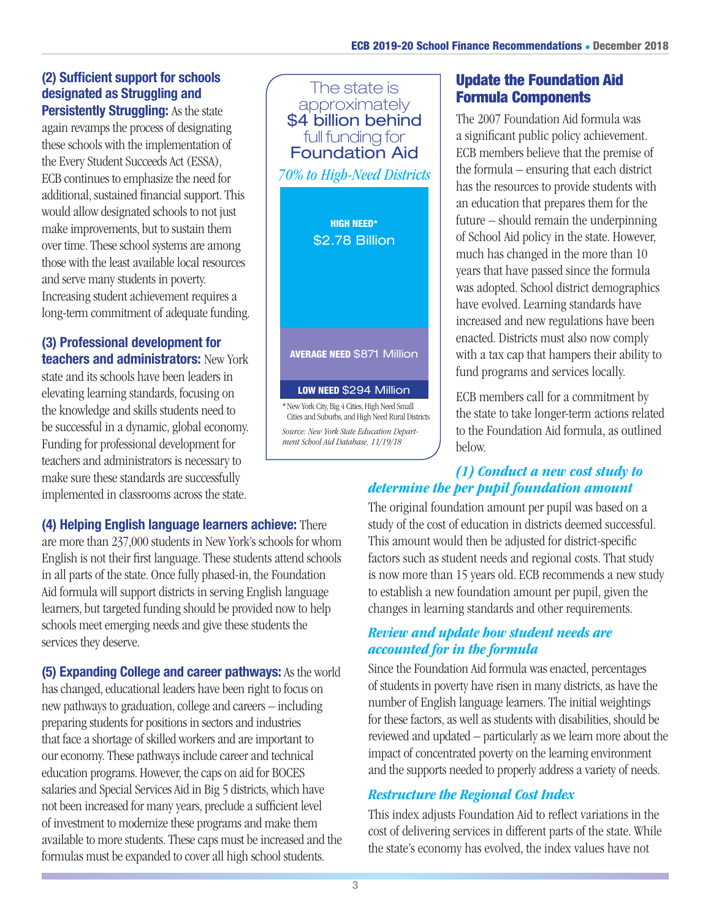#### (2) Sufficient support for schools designated as Struggling and **Persistently Struggling:** As the state

again revamps the process of designating these schools with the implementation of the Every Student Succeeds Act (ESSA), ECB continues to emphasize the need for additional, sustained financial support. This would allow designated schools to not just make improvements, but to sustain them over time. These school systems are among those with the least available local resources and serve many students in poverty. Increasing student achievement requires a long-term commitment of adequate funding.

#### (3) Professional development for teachers and administrators: New York

state and its schools have been leaders in elevating learning standards, focusing on the knowledge and skills students need to be successful in a dynamic, global economy. Funding for professional development for teachers and administrators is necessary to make sure these standards are successfully implemented in classrooms across the state.

(4) Helping English language learners achieve: There are more than 237,000 students in New York's schools for whom English is not their first language. These students attend schools in all parts of the state. Once fully phased-in, the Foundation Aid formula will support districts in serving English language learners, but targeted funding should be provided now to help schools meet emerging needs and give these students the services they deserve.

(5) Expanding College and career pathways: As the world has changed, educational leaders have been right to focus on new pathways to graduation, college and careers – including preparing students for positions in sectors and industries that face a shortage of skilled workers and are important to our economy. These pathways include career and technical education programs. However, the caps on aid for BOCES salaries and Special Services Aid in Big 5 districts, which have not been increased for many years, preclude a sufficient level of investment to modernize these programs and make them available to more students. These caps must be increased and the formulas must be expanded to cover all high school students.

# The state is approximately \$4 billion behind full funding for Foundation Aid *70% to High-Need Districts* HIGH NEED\* \$2.78 Billion AVERAGE NEED \$871 Million LOW NEED \$294 Million

\*New York City, Big 4 Cities, High Need Small Cities and Suburbs, and High Need Rural Districts *Source: New York State Education Department School Aid Database, 11/19/18*

## Update the Foundation Aid Formula Components

The 2007 Foundation Aid formula was a significant public policy achievement. ECB members believe that the premise of the formula – ensuring that each district has the resources to provide students with an education that prepares them for the future – should remain the underpinning of School Aid policy in the state. However, much has changed in the more than 10 years that have passed since the formula was adopted. School district demographics have evolved. Learning standards have increased and new regulations have been enacted. Districts must also now comply with a tax cap that hampers their ability to fund programs and services locally.

ECB members call for a commitment by the state to take longer-term actions related to the Foundation Aid formula, as outlined below.

## *(1) Conduct a new cost study to determine the per pupil foundation amount*

The original foundation amount per pupil was based on a study of the cost of education in districts deemed successful. This amount would then be adjusted for district-specific factors such as student needs and regional costs. That study is now more than 15 years old. ECB recommends a new study to establish a new foundation amount per pupil, given the changes in learning standards and other requirements.

## *Review and update how student needs are accounted for in the formula*

Since the Foundation Aid formula was enacted, percentages of students in poverty have risen in many districts, as have the number of English language learners. The initial weightings for these factors, as well as students with disabilities, should be reviewed and updated – particularly as we learn more about the impact of concentrated poverty on the learning environment and the supports needed to properly address a variety of needs.

## *Restructure the Regional Cost Index*

This index adjusts Foundation Aid to reflect variations in the cost of delivering services in different parts of the state. While the state's economy has evolved, the index values have not